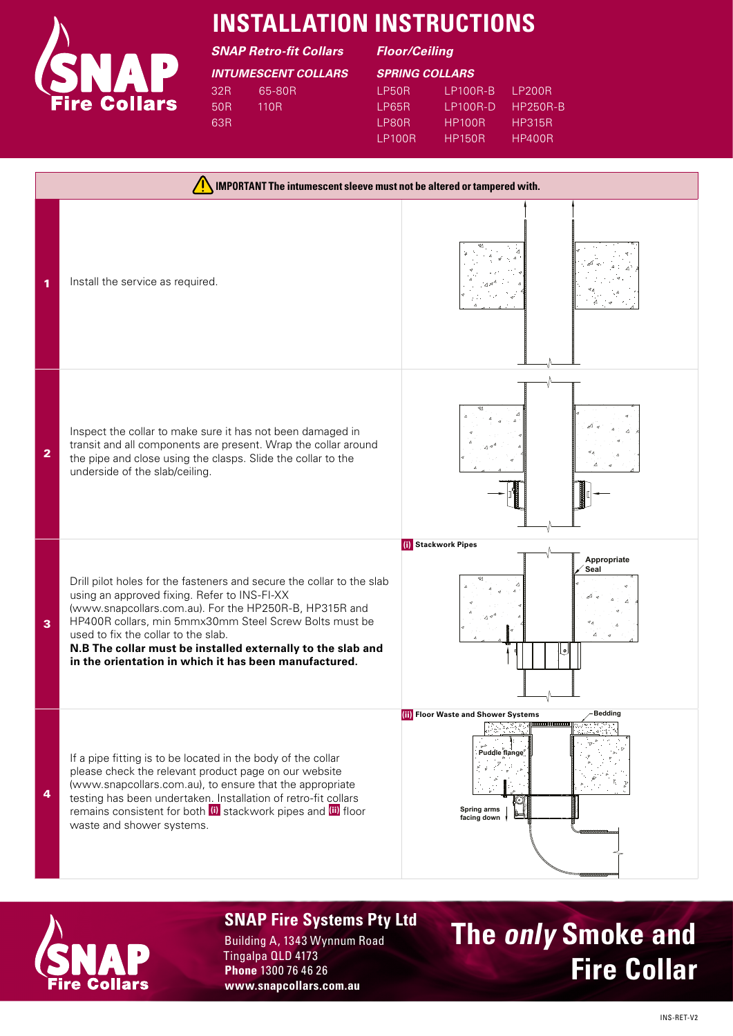

## **INSTALLATION INSTRUCTIONS**

*SNAP Retro-fit Collars Floor/Ceiling*

*INTUMESCENT COLLARS SPRING COLLARS* 32R 50R 63R 65-80R 110R

|  |  |  |  | SPRING COLLARS |
|--|--|--|--|----------------|
|  |  |  |  |                |

| I P50R  | 1 P100R-R     | I P200R  |
|---------|---------------|----------|
| I P65R  | 1 P100R-D     | HP250R-R |
| I PROR  | HP100R        | HP315R   |
| I P100R | <b>HP150R</b> | HP400R   |





### **SNAP Fire Systems Pty Ltd**

Building A, 1343 Wynnum Road Tingalpa QLD 4173 **Phone** 1300 76 46 26 **www.snapcollars.com.au**

# **The only Smoke and Fire Collar**